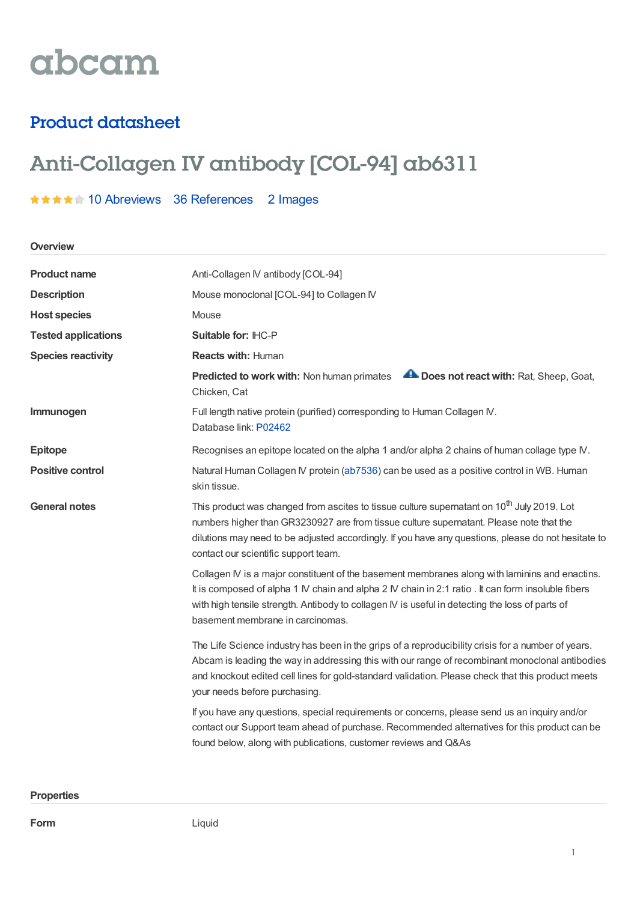# abcam

## Product datasheet

# Anti-Collagen IV antibody [COL-94] ab6311

### \*\*\*\*\* 10 [Abreviews](https://www.abcam.com/collagen-iv-antibody-col-94-ab6311.html?productWallTab=Abreviews) 36 [References](https://www.abcam.com/collagen-iv-antibody-col-94-ab6311.html#description_references) 2 Images

**Overview**

| <b>Product name</b>        | Anti-Collagen IV antibody [COL-94]                                                                                                                                                                                                                                                                                                               |  |
|----------------------------|--------------------------------------------------------------------------------------------------------------------------------------------------------------------------------------------------------------------------------------------------------------------------------------------------------------------------------------------------|--|
| <b>Description</b>         | Mouse monoclonal [COL-94] to Collagen IV                                                                                                                                                                                                                                                                                                         |  |
| <b>Host species</b>        | Mouse                                                                                                                                                                                                                                                                                                                                            |  |
| <b>Tested applications</b> | Suitable for: IHC-P                                                                                                                                                                                                                                                                                                                              |  |
| <b>Species reactivity</b>  | <b>Reacts with: Human</b>                                                                                                                                                                                                                                                                                                                        |  |
|                            | Does not react with: Rat, Sheep, Goat,<br>Predicted to work with: Non human primates<br>Chicken, Cat                                                                                                                                                                                                                                             |  |
| Immunogen                  | Full length native protein (purified) corresponding to Human Collagen IV.<br>Database link: P02462                                                                                                                                                                                                                                               |  |
| <b>Epitope</b>             | Recognises an epitope located on the alpha 1 and/or alpha 2 chains of human collage type IV.                                                                                                                                                                                                                                                     |  |
| <b>Positive control</b>    | Natural Human Collagen IV protein (ab7536) can be used as a positive control in WB. Human<br>skin tissue.                                                                                                                                                                                                                                        |  |
| <b>General notes</b>       | This product was changed from ascites to tissue culture supernatant on 10 <sup>th</sup> July 2019. Lot<br>numbers higher than GR3230927 are from tissue culture supernatant. Please note that the<br>dilutions may need to be adjusted accordingly. If you have any questions, please do not hesitate to<br>contact our scientific support team. |  |
|                            | Collagen IV is a major constituent of the basement membranes along with laminins and enactins.<br>It is composed of alpha 1 IV chain and alpha 2 IV chain in 2:1 ratio . It can form insoluble fibers<br>with high tensile strength. Antibody to collagen IV is useful in detecting the loss of parts of<br>basement membrane in carcinomas.     |  |
|                            | The Life Science industry has been in the grips of a reproducibility crisis for a number of years.<br>Abcam is leading the way in addressing this with our range of recombinant monoclonal antibodies<br>and knockout edited cell lines for gold-standard validation. Please check that this product meets<br>your needs before purchasing.      |  |
|                            | If you have any questions, special requirements or concerns, please send us an inquiry and/or<br>contact our Support team ahead of purchase. Recommended alternatives for this product can be<br>found below, along with publications, customer reviews and Q&As                                                                                 |  |

#### **Properties**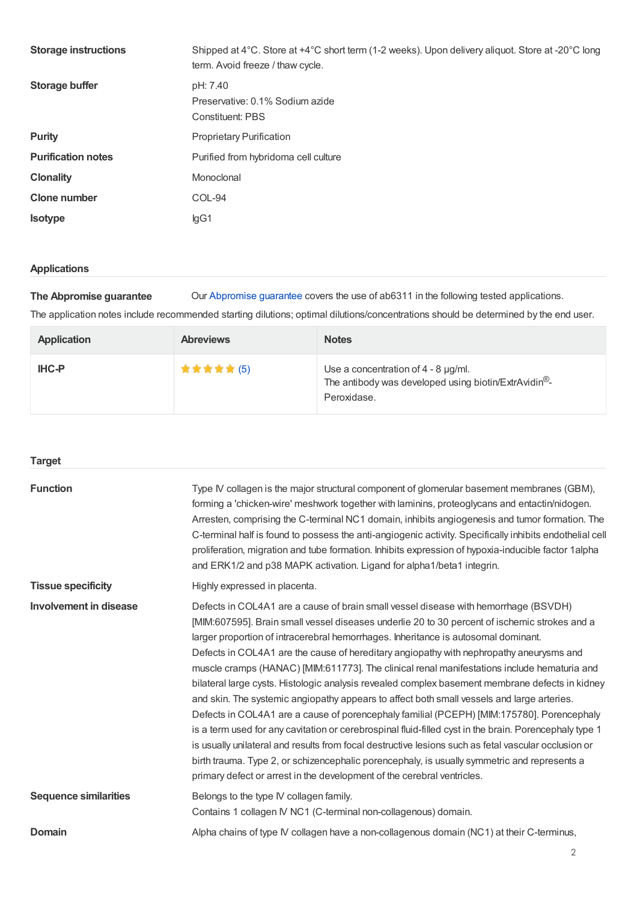| <b>Storage instructions</b> | Shipped at 4°C. Store at +4°C short term (1-2 weeks). Upon delivery aliquot. Store at -20°C long<br>term. Avoid freeze / thaw cycle. |
|-----------------------------|--------------------------------------------------------------------------------------------------------------------------------------|
| Storage buffer              | pH: 7.40<br>Preservative: 0.1% Sodium azide<br>Constituent: PBS                                                                      |
| <b>Purity</b>               | <b>Proprietary Purification</b>                                                                                                      |
| <b>Purification notes</b>   | Purified from hybridoma cell culture                                                                                                 |
| <b>Clonality</b>            | Monoclonal                                                                                                                           |
| <b>Clone number</b>         | COL-94                                                                                                                               |
| <b>Isotype</b>              | lgG1                                                                                                                                 |

#### **Applications**

**The Abpromise guarantee** Our [Abpromise](https://www.abcam.com/abpromise) guarantee covers the use of ab6311 in the following tested applications.

The application notes include recommended starting dilutions; optimal dilutions/concentrations should be determined by the end user.

| <b>Application</b> | <b>Abreviews</b> | <b>Notes</b>                                                                                                              |
|--------------------|------------------|---------------------------------------------------------------------------------------------------------------------------|
| <b>IHC-P</b>       | <b>★★★★★(5)</b>  | Use a concentration of $4 - 8$ µg/ml.<br>The antibody was developed using biotin/ExtrAvidin <sup>®</sup> -<br>Peroxidase. |

| <b>Target</b>                |                                                                                                                                                                                                                                                                                                                                                                                                                                                                                                                                                                                                                                                                                                                                                                                                                                                                                                                                                                                                                                                                                                                                                                 |
|------------------------------|-----------------------------------------------------------------------------------------------------------------------------------------------------------------------------------------------------------------------------------------------------------------------------------------------------------------------------------------------------------------------------------------------------------------------------------------------------------------------------------------------------------------------------------------------------------------------------------------------------------------------------------------------------------------------------------------------------------------------------------------------------------------------------------------------------------------------------------------------------------------------------------------------------------------------------------------------------------------------------------------------------------------------------------------------------------------------------------------------------------------------------------------------------------------|
| <b>Function</b>              | Type IV collagen is the major structural component of glomerular basement membranes (GBM),<br>forming a 'chicken-wire' meshwork together with laminins, proteoglycans and entactin/nidogen.<br>Arresten, comprising the C-terminal NC1 domain, inhibits angiogenesis and tumor formation. The<br>C-terminal half is found to possess the anti-angiogenic activity. Specifically inhibits endothelial cell<br>proliferation, migration and tube formation. Inhibits expression of hypoxia-inducible factor 1alpha<br>and ERK1/2 and p38 MAPK activation. Ligand for alpha1/beta1 integrin.                                                                                                                                                                                                                                                                                                                                                                                                                                                                                                                                                                       |
| <b>Tissue specificity</b>    | Highly expressed in placenta.                                                                                                                                                                                                                                                                                                                                                                                                                                                                                                                                                                                                                                                                                                                                                                                                                                                                                                                                                                                                                                                                                                                                   |
| Involvement in disease       | Defects in COL4A1 are a cause of brain small vessel disease with hemorrhage (BSVDH)<br>[MIM:607595]. Brain small vessel diseases underlie 20 to 30 percent of ischemic strokes and a<br>larger proportion of intracerebral hemorrhages. Inheritance is autosomal dominant.<br>Defects in COL4A1 are the cause of hereditary angiopathy with nephropathy aneurysms and<br>muscle cramps (HANAC) [MIM:611773]. The clinical renal manifestations include hematuria and<br>bilateral large cysts. Histologic analysis revealed complex basement membrane defects in kidney<br>and skin. The systemic angiopathy appears to affect both small vessels and large arteries.<br>Defects in COL4A1 are a cause of porencephaly familial (PCEPH) [MIM:175780]. Porencephaly<br>is a term used for any cavitation or cerebrospinal fluid-filled cyst in the brain. Porencephaly type 1<br>is usually unilateral and results from focal destructive lesions such as fetal vascular occlusion or<br>birth trauma. Type 2, or schizencephalic porencephaly, is usually symmetric and represents a<br>primary defect or arrest in the development of the cerebral ventricles. |
| <b>Sequence similarities</b> | Belongs to the type IV collagen family.<br>Contains 1 collagen IV NC1 (C-terminal non-collagenous) domain.                                                                                                                                                                                                                                                                                                                                                                                                                                                                                                                                                                                                                                                                                                                                                                                                                                                                                                                                                                                                                                                      |
| <b>Domain</b>                | Alpha chains of type IV collagen have a non-collagenous domain (NC1) at their C-terminus,                                                                                                                                                                                                                                                                                                                                                                                                                                                                                                                                                                                                                                                                                                                                                                                                                                                                                                                                                                                                                                                                       |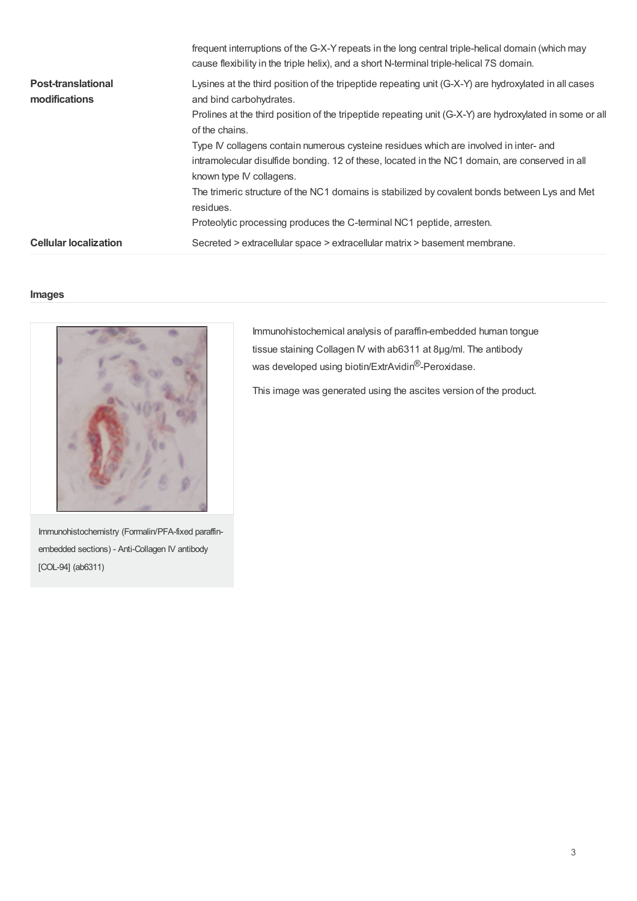| <b>Cellular localization</b> | Secreted > extracellular space > extracellular matrix > basement membrane.                                                                                                                   |
|------------------------------|----------------------------------------------------------------------------------------------------------------------------------------------------------------------------------------------|
|                              | Proteolytic processing produces the C-terminal NC1 peptide, arresten.                                                                                                                        |
|                              | The trimeric structure of the NC1 domains is stabilized by covalent bonds between Lys and Met<br>residues.                                                                                   |
|                              | known type IV collagens.                                                                                                                                                                     |
|                              | intramolecular disulfide bonding. 12 of these, located in the NC1 domain, are conserved in all                                                                                               |
|                              | Type IV collagens contain numerous cysteine residues which are involved in inter- and                                                                                                        |
|                              | of the chains.                                                                                                                                                                               |
|                              | Prolines at the third position of the tripeptide repeating unit (G-X-Y) are hydroxylated in some or all                                                                                      |
| modifications                | Lysines at the third position of the tripeptide repeating unit (G-X-Y) are hydroxylated in all cases<br>and bind carbohydrates.                                                              |
| <b>Post-translational</b>    |                                                                                                                                                                                              |
|                              | frequent interruptions of the G-X-Y repeats in the long central triple-helical domain (which may<br>cause flexibility in the triple helix), and a short N-terminal triple-helical 7S domain. |

#### **Images**



Immunohistochemical analysis of paraffin-embedded human tongue tissue staining Collagen IV with ab6311 at 8µg/ml. The antibody was developed using biotin/ExtrAvidin<sup>®</sup>-Peroxidase.

This image was generated using the ascites version of the product.

Immunohistochemistry (Formalin/PFA-fixed paraffinembedded sections) - Anti-Collagen IV antibody [COL-94] (ab6311)